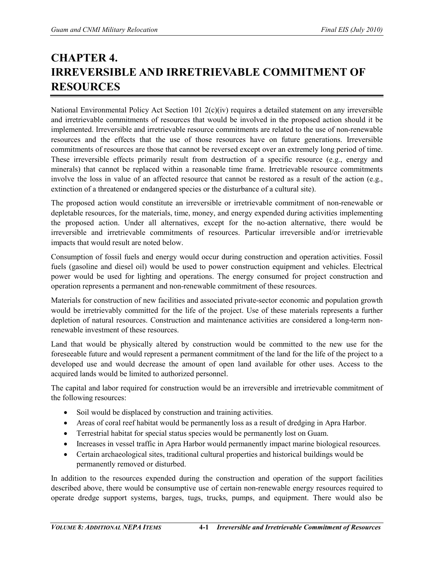## **CHAPTER 4. IRREVERSIBLE AND IRRETRIEVABLE COMMITMENT OF RESOURCES**

National Environmental Policy Act Section 101 2(c)(iv) requires a detailed statement on any irreversible and irretrievable commitments of resources that would be involved in the proposed action should it be implemented. Irreversible and irretrievable resource commitments are related to the use of non-renewable resources and the effects that the use of those resources have on future generations. Irreversible commitments of resources are those that cannot be reversed except over an extremely long period of time. These irreversible effects primarily result from destruction of a specific resource (e.g., energy and minerals) that cannot be replaced within a reasonable time frame. Irretrievable resource commitments involve the loss in value of an affected resource that cannot be restored as a result of the action (e.g., extinction of a threatened or endangered species or the disturbance of a cultural site).

The proposed action would constitute an irreversible or irretrievable commitment of non-renewable or depletable resources, for the materials, time, money, and energy expended during activities implementing the proposed action. Under all alternatives, except for the no-action alternative, there would be irreversible and irretrievable commitments of resources. Particular irreversible and/or irretrievable impacts that would result are noted below.

Consumption of fossil fuels and energy would occur during construction and operation activities. Fossil fuels (gasoline and diesel oil) would be used to power construction equipment and vehicles. Electrical power would be used for lighting and operations. The energy consumed for project construction and operation represents a permanent and non-renewable commitment of these resources.

Materials for construction of new facilities and associated private-sector economic and population growth would be irretrievably committed for the life of the project. Use of these materials represents a further depletion of natural resources. Construction and maintenance activities are considered a long-term nonrenewable investment of these resources.

Land that would be physically altered by construction would be committed to the new use for the foreseeable future and would represent a permanent commitment of the land for the life of the project to a developed use and would decrease the amount of open land available for other uses. Access to the acquired lands would be limited to authorized personnel.

The capital and labor required for construction would be an irreversible and irretrievable commitment of the following resources:

- Soil would be displaced by construction and training activities.
- Areas of coral reef habitat would be permanently loss as a result of dredging in Apra Harbor.
- Terrestrial habitat for special status species would be permanently lost on Guam.
- Increases in vessel traffic in Apra Harbor would permanently impact marine biological resources.
- Certain archaeological sites, traditional cultural properties and historical buildings would be permanently removed or disturbed.

In addition to the resources expended during the construction and operation of the support facilities described above, there would be consumptive use of certain non-renewable energy resources required to operate dredge support systems, barges, tugs, trucks, pumps, and equipment. There would also be